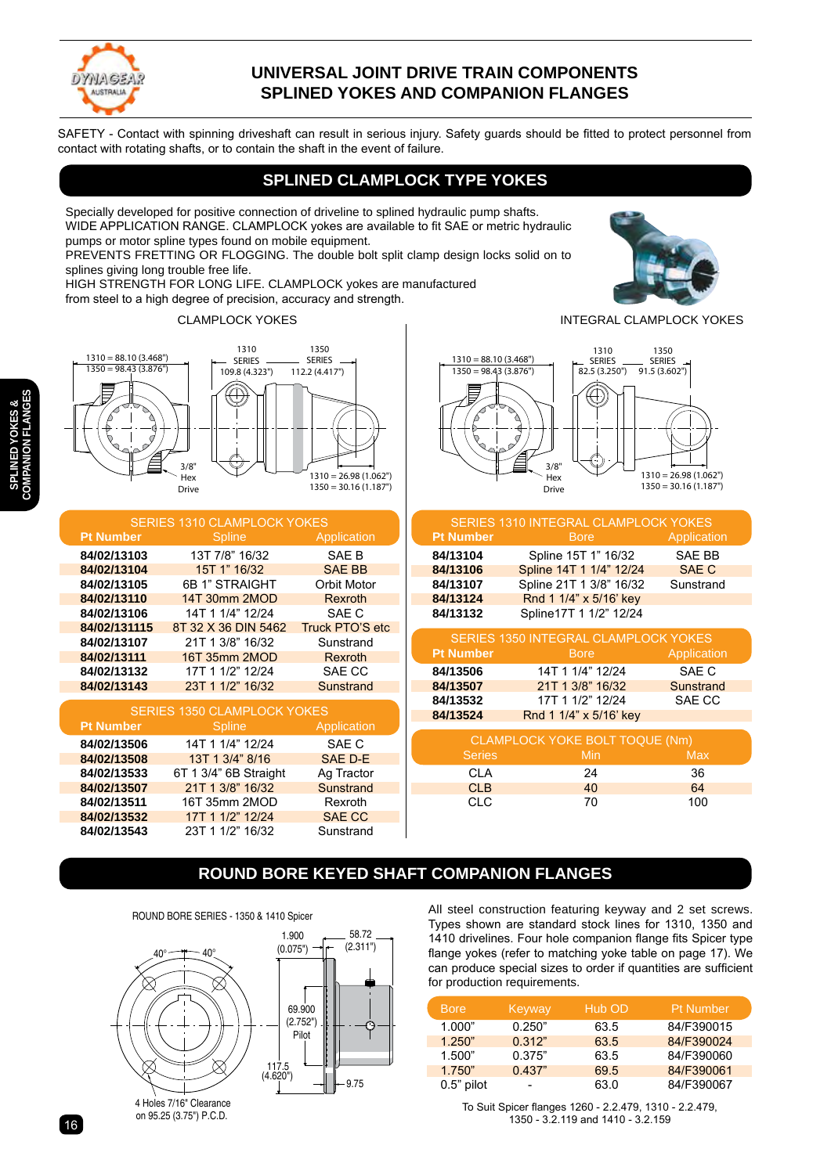

#### **UNIVERSAL JOINT DRIVE TRAIN COMPONENTS SPLINED YOKES AND COMPANION FLANGES**

SAFETY - Contact with spinning driveshaft can result in serious injury. Safety guards should be fitted to protect personnel from contact with rotating shafts, or to contain the shaft in the event of failure.

#### **SPLINED CLAMPLOCK TYPE YOKES**

Specially developed for positive connection of driveline to splined hydraulic pump shafts. WIDE APPLICATION RANGE. CLAMPLOCK yokes are available to fit SAE or metric hydraulic pumps or motor spline types found on mobile equipment.

PREVENTS FRETTING OR FLOGGING. The double bolt split clamp design locks solid on to splines giving long trouble free life.

HIGH STRENGTH FOR LONG LIFE. CLAMPLOCK yokes are manufactured from steel to a high degree of precision, accuracy and strength.

CLAMPLOCK YOKES INTEGRAL CLAMPLOCK YOKES



| <b>SERIES 1310 CLAMPLOCK YOKES</b> |                     |                 |  |
|------------------------------------|---------------------|-----------------|--|
| <b>Pt Number</b>                   | <b>Spline</b>       | Application     |  |
| 84/02/13103                        | 13T 7/8" 16/32      | SAE B           |  |
| 84/02/13104                        | 15T 1" 16/32        | <b>SAE BB</b>   |  |
| 84/02/13105                        | 6B 1" STRAIGHT      | Orbit Motor     |  |
| 84/02/13110                        | 14T 30mm 2MOD       | Rexroth         |  |
| 84/02/13106                        | 14T 1 1/4" 12/24    | SAE C           |  |
| 84/02/131115                       | 8T 32 X 36 DIN 5462 | Truck PTO'S etc |  |
| 84/02/13107                        | 21T 1 3/8" 16/32    | Sunstrand       |  |
| 84/02/13111                        | 16T 35mm 2MOD       | Rexroth         |  |
| 84/02/13132                        | 17T 1 1/2" 12/24    | SAE CC          |  |
| 84/02/13143                        | 23T 1 1/2" 16/32    | Sunstrand       |  |

| <b>SERIES 1350 CLAMPLOCK YOKES</b> |                       |               |  |
|------------------------------------|-----------------------|---------------|--|
| <b>Pt Number</b>                   | <b>Spline</b>         | Application   |  |
| 84/02/13506                        | 14T 1 1/4" 12/24      | SAE C         |  |
| 84/02/13508                        | 13T 1 3/4" 8/16       | SAE D-E       |  |
| 84/02/13533                        | 6T 1 3/4" 6B Straight | Ag Tractor    |  |
| 84/02/13507                        | 21T 1 3/8" 16/32      | Sunstrand     |  |
| 84/02/13511                        | 16T 35mm 2MOD         | Rexroth       |  |
| 84/02/13532                        | 17T 1 1/2" 12/24      | <b>SAE CC</b> |  |
| 84/02/13543                        | 23T 1 1/2" 16/32      | Sunstrand     |  |

#### $1310 = 88.10(3.468)$ |  $1350 = 98.43 (3.876")$ 1350 1350 SERIES SERIES 91.5 (3.602") 91.5 (3.602") 1310 1310 SERIES SERIES 82.5 (3.250") 82.5 (3.250")

 $\overline{\phantom{a}}$ Hex Drive Drive

 $3/8$ Hex 1310 = 26.98 (1.062") 1310 = 26.98 (1.062") 1350 = 30.16 (1.187") 1350 = 30.16 (1.187")

|                  | SERIES 1310 INTEGRAL CLAMPLOCK YOKES        |                  |
|------------------|---------------------------------------------|------------------|
| <b>Pt Number</b> | <b>Bore</b>                                 | Application      |
| 84/13104         | Spline 15T 1" 16/32                         | <b>SAE BB</b>    |
| 84/13106         | Spline 14T 1 1/4" 12/24                     | <b>SAE C</b>     |
| 84/13107         | Spline 21T 1 3/8" 16/32                     | Sunstrand        |
| 84/13124         | Rnd 1 1/4" x 5/16' key                      |                  |
| 84/13132         | Spline17T 1 1/2" 12/24                      |                  |
|                  | <b>SERIES 1350 INTEGRAL CLAMPLOCK YOKES</b> |                  |
| <b>Pt Number</b> | <b>Bore</b>                                 | Application      |
| 84/13506         | 14T 1 1/4" 12/24                            | SAE C            |
| 84/13507         | 21T 1 3/8" 16/32                            | <b>Sunstrand</b> |
| 84/13532         | 17T 1 1/2" 12/24                            | SAE CC           |
| 84/13524         | Rnd 1 1/4" x 5/16' key                      |                  |

| CLAMPLOCK YOKE BOLT TOQUE (Nm) |            |     |  |
|--------------------------------|------------|-----|--|
| <b>Series</b>                  | <b>Min</b> | Max |  |
| CI A                           | 24         | 36  |  |
| CLB                            | 40         | 64  |  |
| <b>CLC</b>                     | 70         | 100 |  |

## **ROUND BORE KEYED SHAFT COMPANION FLANGES**

58.72

1.900 ROUND BORE SERIES - 1350 & 1410 Spicer



on 95.25 (3.75") P.C.D.

All steel construction featuring keyway and 2 set screws. Types shown are standard stock lines for 1310, 1350 and 1410 drivelines. Four hole companion flange fits Spicer type flange yokes (refer to matching yoke table on page 17). We can produce special sizes to order if quantities are sufficient for production requirements.

| <b>Bore</b>  | Keyway | Hub OD | <b>Pt Number</b> |
|--------------|--------|--------|------------------|
| 1.000"       | 0.250" | 63.5   | 84/F390015       |
| 1.250"       | 0.312" | 63.5   | 84/F390024       |
| 1.500"       | 0.375" | 63.5   | 84/F390060       |
| 1.750"       | 0.437" | 69.5   | 84/F390061       |
| $0.5"$ pilot | -      | 63.0   | 84/F390067       |

To Suit Spicer flanges 1260 - 2.2.479, 1310 - 2.2.479, 1350 - 3.2.119 and 1410 - 3.2.159



 $\mathbf c$